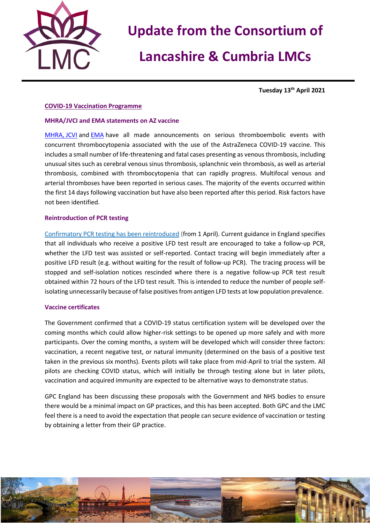

# **Update from the Consortium of**

# **Lancashire & Cumbria LMCs**

**Tuesday 13th April 2021**

### **COVID-19 Vaccination Programme**

### **MHRA/JVCI and EMA statements on AZ vaccine**

[MHRA,](https://bma-mail.org.uk/t/JVX-7BJ66-JCJOU4-4EJOSJ-1/c.aspx) [JCVI](https://bma-mail.org.uk/t/JVX-7BJ66-JCJOU4-4EK1YD-1/c.aspx) and [EMA](https://bma-mail.org.uk/t/JVX-7BJ66-JCJOU4-4EJOSK-1/c.aspx) have all made announcements on serious thromboembolic events with concurrent thrombocytopenia associated with the use of the AstraZeneca COVID-19 vaccine. This includes a small number of life-threatening and fatal cases presenting as venous thrombosis, including unusual sites such as cerebral venous sinus thrombosis, splanchnic vein thrombosis, as well as arterial thrombosis, combined with thrombocytopenia that can rapidly progress. Multifocal venous and arterial thromboses have been reported in serious cases. The majority of the events occurred within the first 14 days following vaccination but have also been reported after this period. Risk factors have not been identified.

### **Reintroduction of PCR testing**

[Confirmatory PCR testing has been reintroduced](https://bma-mail.org.uk/t/JVX-7BJ66-JCJOU4-4EJOSN-1/c.aspx) (from 1 April). Current guidance in England specifies that all individuals who receive a positive LFD test result are encouraged to take a follow-up PCR, whether the LFD test was assisted or self-reported. Contact tracing will begin immediately after a positive LFD result (e.g. without waiting for the result of follow-up PCR). The tracing process will be stopped and self-isolation notices rescinded where there is a negative follow-up PCR test result obtained within 72 hours of the LFD test result. This is intended to reduce the number of people selfisolating unnecessarily because of false positives from antigen LFD tests at low population prevalence.

### **Vaccine certificates**

The Government confirmed that a COVID-19 status certification system will be developed over the coming months which could allow higher-risk settings to be opened up more safely and with more participants. Over the coming months, a system will be developed which will consider three factors: vaccination, a recent negative test, or natural immunity (determined on the basis of a positive test taken in the previous six months). Events pilots will take place from mid-April to trial the system. All pilots are checking COVID status, which will initially be through testing alone but in later pilots, vaccination and acquired immunity are expected to be alternative ways to demonstrate status.

GPC England has been discussing these proposals with the Government and NHS bodies to ensure there would be a minimal impact on GP practices, and this has been accepted. Both GPC and the LMC feel there is a need to avoid the expectation that people can secure evidence of vaccination or testing by obtaining a letter from their GP practice.

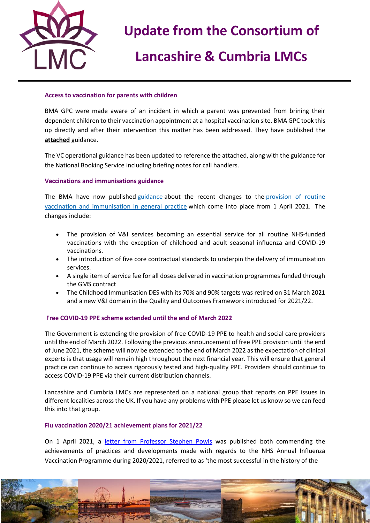

# **Update from the Consortium of**

# **Lancashire & Cumbria LMCs**

### **Access to vaccination for parents with children**

BMA GPC were made aware of an incident in which a parent was prevented from brining their dependent children to their vaccination appointment at a hospital vaccination site. BMA GPC took this up directly and after their intervention this matter has been addressed. They have published the **attached** guidance.

The VC operational guidance has been updated to reference the attached, along with the guidance for the National Booking Service including briefing notes for call handlers.

### **Vaccinations and immunisations guidance**

The BMA have now published [guidance](https://bma-mail.org.uk/t/JVX-7BJ66-JCJOU4-4EJOSO-1/c.aspx) about the recent changes to the [provision of routine](https://bma-mail.org.uk/t/JVX-7BJ66-JCJOU4-4EK82T-1/c.aspx)  [vaccination and immunisation in general practice](https://bma-mail.org.uk/t/JVX-7BJ66-JCJOU4-4EK82T-1/c.aspx) which come into place from 1 April 2021. The changes include:

- The provision of V&I services becoming an essential service for all routine NHS-funded vaccinations with the exception of childhood and adult seasonal influenza and COVID-19 vaccinations.
- The introduction of five core contractual standards to underpin the delivery of immunisation services.
- A single item of service fee for all doses delivered in vaccination programmes funded through the GMS contract
- The Childhood Immunisation DES with its 70% and 90% targets was retired on 31 March 2021 and a new V&I domain in the Quality and Outcomes Framework introduced for 2021/22.

### **Free COVID-19 PPE scheme extended until the end of March 2022**

The Government is extending the provision of free COVID-19 PPE to health and social care providers until the end of March 2022. Following the previous announcement of free PPE provision until the end of June 2021, the scheme will now be extended to the end of March 2022 as the expectation of clinical experts is that usage will remain high throughout the next financial year. This will ensure that general practice can continue to access rigorously tested and high-quality PPE. Providers should continue to access COVID-19 PPE via their current distribution channels.

Lancashire and Cumbria LMCs are represented on a national group that reports on PPE issues in different localities across the UK. If you have any problems with PPE please let us know so we can feed this into that group.

### **Flu vaccination 2020/21 achievement plans for 2021/22**

On 1 April 2021, a [letter from Professor Stephen Powis](https://www.england.nhs.uk/publication/achievements-and-developments-during-2020-21-flu-season/) was published both commending the achievements of practices and developments made with regards to the NHS Annual Influenza Vaccination Programme during 2020/2021, referred to as 'the most successful in the history of the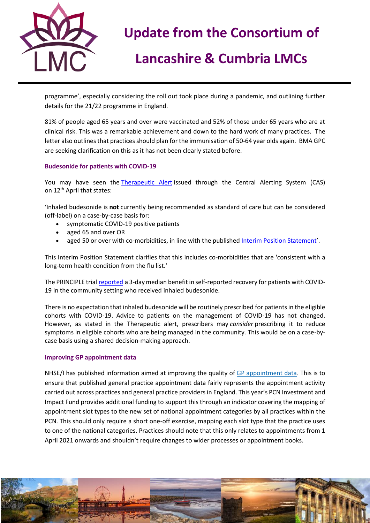

# **Update from the Consortium of**

# **Lancashire & Cumbria LMCs**

programme', especially considering the roll out took place during a pandemic, and outlining further details for the 21/22 programme in England.

81% of people aged 65 years and over were vaccinated and 52% of those under 65 years who are at clinical risk. This was a remarkable achievement and down to the hard work of many practices. The letter also outlines that practices should plan for the immunisation of 50-64 year olds again. BMA GPC are seeking clarification on this as it has not been clearly stated before.

## **Budesonide for patients with COVID-19**

You may have seen the [Therapeutic Alert](https://www.cas.mhra.gov.uk/ViewandAcknowledgment/ViewAlert.aspx?AlertID=103154) issued through the Central Alerting System (CAS) on 12<sup>th</sup> April that states:

'Inhaled budesonide is **not** currently being recommended as standard of care but can be considered (off-label) on a case-by-case basis for:

- symptomatic COVID-19 positive patients
- aged 65 and over OR
- aged 50 or over with co-morbidities, in line with the published [Interim Position Statement](https://www.cas.mhra.gov.uk/ViewandAcknowledgment/ViewAttachment.aspx?Attachment_id=103796)'.

This Interim Position Statement clarifies that this includes co-morbidities that are 'consistent with a long-term health condition from the flu list.'

The PRINCIPLE trial [reported](https://www.principletrial.org/results) a 3-day median benefit in self-reported recovery for patients with COVID-19 in the community setting who received inhaled budesonide.

There is no expectation that inhaled budesonide will be routinely prescribed for patients in the eligible cohorts with COVID-19. Advice to patients on the management of COVID-19 has not changed. However, as stated in the Therapeutic alert, prescribers may *consider* prescribing it to reduce symptoms in eligible cohorts who are being managed in the community. This would be on a case-bycase basis using a shared decision-making approach.

### **Improving GP appointment data**

NHSE/I has published information aimed at improving the quality of [GP appointment data.](https://bma-mail.org.uk/t/JVX-7BJ66-JCJOU4-4EJOSQ-1/c.aspx) This is to ensure that published general practice appointment data fairly represents the appointment activity carried out across practices and general practice providers in England. This year's PCN Investment and Impact Fund provides additional funding to support this through an indicator covering the mapping of appointment slot types to the new set of national appointment categories by all practices within the PCN. This should only require a short one-off exercise, mapping each slot type that the practice uses to one of the national categories. Practices should note that this only relates to appointments from 1 April 2021 onwards and shouldn't require changes to wider processes or appointment books.